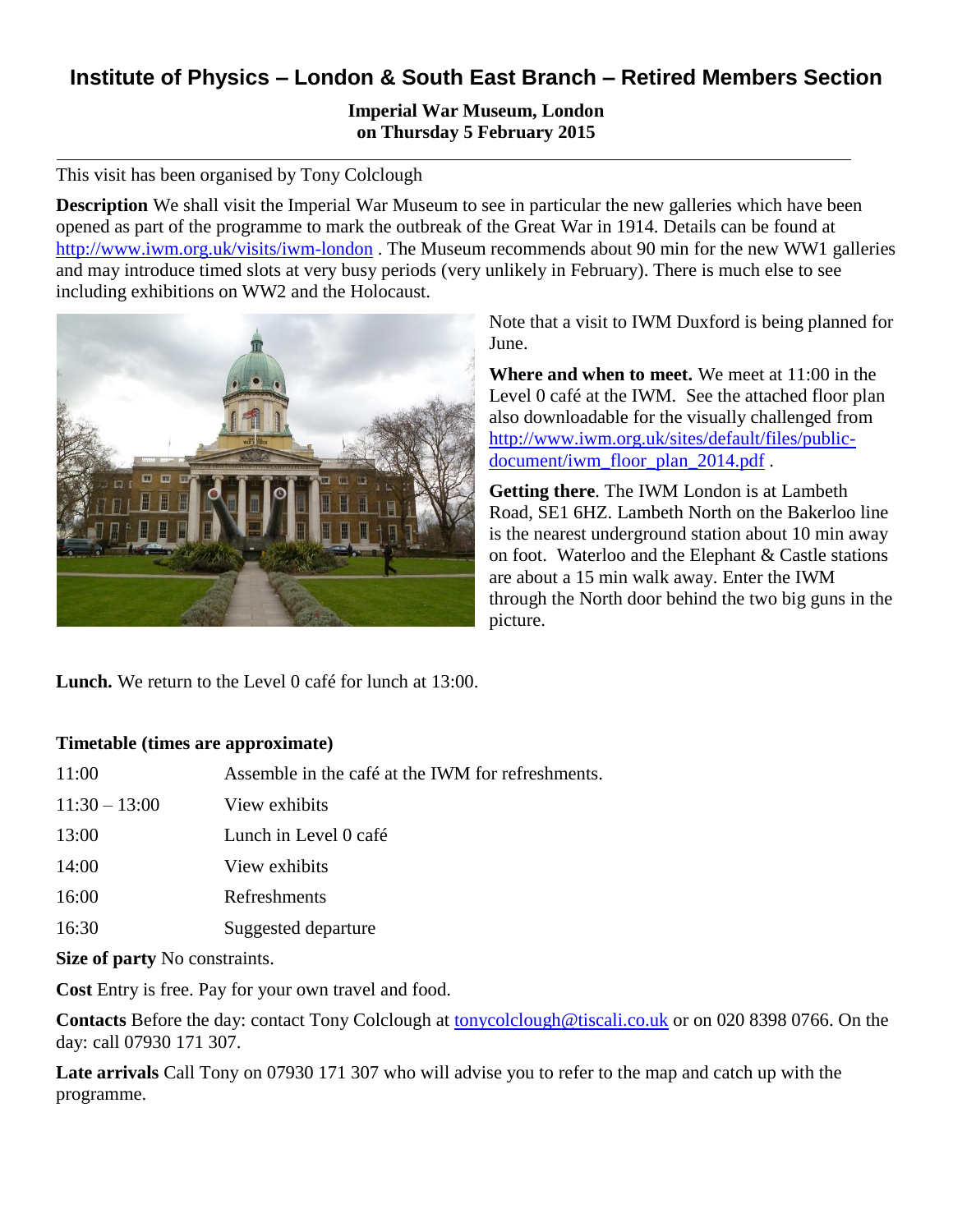# **Institute of Physics – London & South East Branch – Retired Members Section**

## **Imperial War Museum, London on Thursday 5 February 2015**

### This visit has been organised by Tony Colclough

**Description** We shall visit the Imperial War Museum to see in particular the new galleries which have been opened as part of the programme to mark the outbreak of the Great War in 1914. Details can be found at <http://www.iwm.org.uk/visits/iwm-london> . The Museum recommends about 90 min for the new WW1 galleries and may introduce timed slots at very busy periods (very unlikely in February). There is much else to see including exhibitions on WW2 and the Holocaust.



Note that a visit to IWM Duxford is being planned for June.

**Where and when to meet.** We meet at 11:00 in the Level 0 café at the IWM. See the attached floor plan also downloadable for the visually challenged from [http://www.iwm.org.uk/sites/default/files/public](http://www.iwm.org.uk/sites/default/files/public-document/iwm_floor_plan_2014.pdf)[document/iwm\\_floor\\_plan\\_2014.pdf](http://www.iwm.org.uk/sites/default/files/public-document/iwm_floor_plan_2014.pdf) .

**Getting there**. The IWM London is at Lambeth Road, SE1 6HZ. Lambeth North on the Bakerloo line is the nearest underground station about 10 min away on foot. Waterloo and the Elephant & Castle stations are about a 15 min walk away. Enter the IWM through the North door behind the two big guns in the picture.

**Lunch.** We return to the Level 0 café for lunch at 13:00.

#### **Timetable (times are approximate)**

| 11:00                                | Assemble in the café at the IWM for refreshments. |
|--------------------------------------|---------------------------------------------------|
| $11:30 - 13:00$                      | View exhibits                                     |
| 13:00                                | Lunch in Level 0 café                             |
| 14:00                                | View exhibits                                     |
| 16:00                                | Refreshments                                      |
| 16:30                                | Suggested departure                               |
| <b>Size of party</b> No constraints. |                                                   |
|                                      |                                                   |

**Cost** Entry is free. Pay for your own travel and food.

**Contacts** Before the day: contact Tony Colclough at [tonycolclough@tiscali.co.uk](mailto:tonycolclough@tiscali.co.uk) or on 020 8398 0766. On the day: call 07930 171 307.

**Late arrivals** Call Tony on 07930 171 307 who will advise you to refer to the map and catch up with the programme.